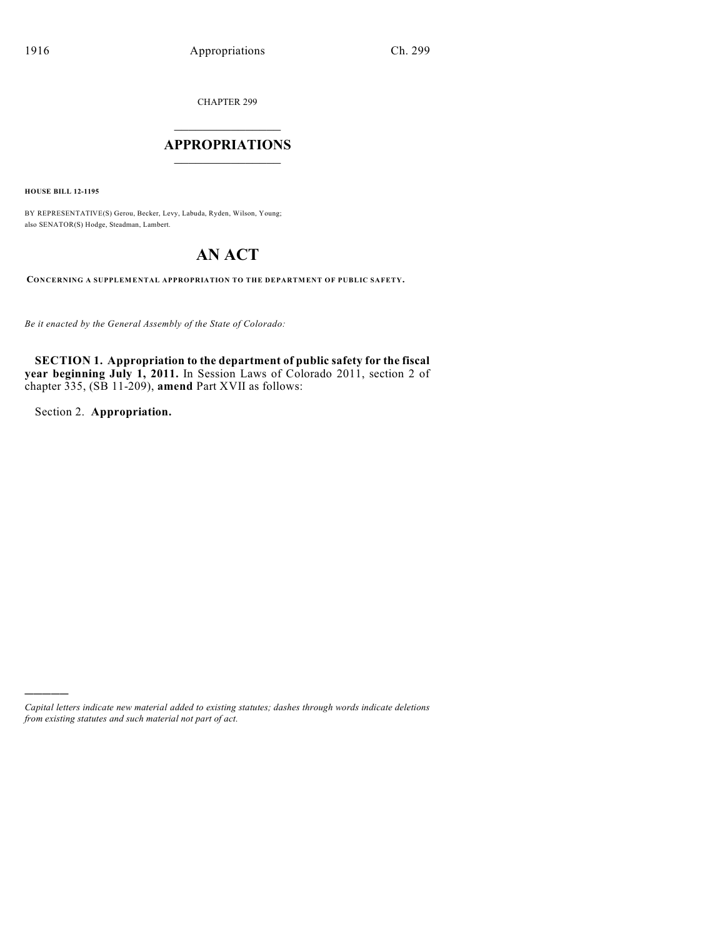CHAPTER 299

### **APPROPRIATIONS**  $\_$   $\_$   $\_$   $\_$   $\_$   $\_$   $\_$   $\_$

**HOUSE BILL 12-1195**

BY REPRESENTATIVE(S) Gerou, Becker, Levy, Labuda, Ryden, Wilson, Young; also SENATOR(S) Hodge, Steadman, Lambert.

# **AN ACT**

**CONCERNING A SUPPLEMENTAL APPROPRIATION TO THE DEPARTMENT OF PUBLIC SAFETY.**

*Be it enacted by the General Assembly of the State of Colorado:*

**SECTION 1. Appropriation to the department of public safety for the fiscal year beginning July 1, 2011.** In Session Laws of Colorado 2011, section 2 of chapter 335, (SB 11-209), **amend** Part XVII as follows:

Section 2. **Appropriation.**

)))))

*Capital letters indicate new material added to existing statutes; dashes through words indicate deletions from existing statutes and such material not part of act.*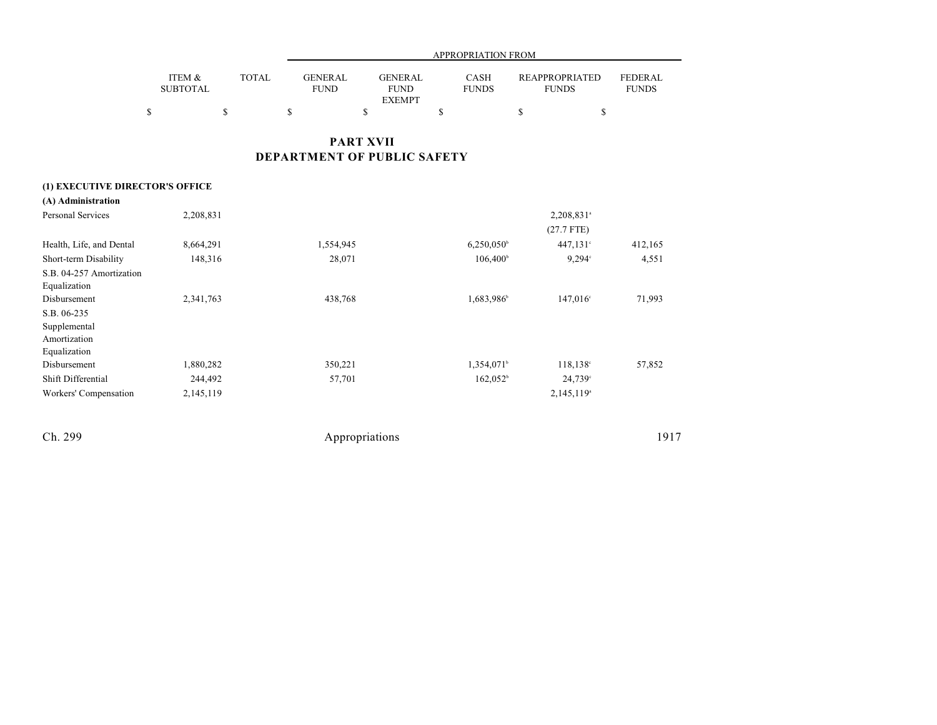|                           |       | APPROPRIATION FROM     |                        |                             |                                |                                |  |  |  |  |  |
|---------------------------|-------|------------------------|------------------------|-----------------------------|--------------------------------|--------------------------------|--|--|--|--|--|
| ITEM &<br><b>SUBTOTAL</b> | TOTAL | <b>GENERAL</b><br>FUND | GENERAL<br><b>FUND</b> | <b>CASH</b><br><b>FUNDS</b> | REAPPROPRIATED<br><b>FUNDS</b> | <b>FEDERAL</b><br><b>FUNDS</b> |  |  |  |  |  |
|                           |       |                        | <b>EXEMPT</b>          |                             |                                |                                |  |  |  |  |  |
|                           |       |                        |                        |                             |                                |                                |  |  |  |  |  |

## **PART XVII DEPARTMENT OF PUBLIC SAFETY**

### **(1) EXECUTIVE DIRECTOR'S OFFICE**

| (A) Administration       |           |           |                     |                        |         |
|--------------------------|-----------|-----------|---------------------|------------------------|---------|
| Personal Services        | 2,208,831 |           |                     | 2,208,831 <sup>a</sup> |         |
|                          |           |           |                     | $(27.7$ FTE)           |         |
| Health, Life, and Dental | 8,664,291 | 1,554,945 | $6,250,050^{\circ}$ | $447,131^{\circ}$      | 412,165 |
| Short-term Disability    | 148,316   | 28,071    | $106,400^{\circ}$   | $9.294$ °              | 4,551   |
| S.B. 04-257 Amortization |           |           |                     |                        |         |
| Equalization             |           |           |                     |                        |         |
| Disbursement             | 2,341,763 | 438,768   | 1,683,986           | $147,016^{\circ}$      | 71,993  |
| S.B. 06-235              |           |           |                     |                        |         |
| Supplemental             |           |           |                     |                        |         |
| Amortization             |           |           |                     |                        |         |
| Equalization             |           |           |                     |                        |         |
| Disbursement             | 1,880,282 | 350,221   | $1,354,071^{\circ}$ | 118,138°               | 57,852  |
| Shift Differential       | 244,492   | 57,701    | $162,052^{\circ}$   | $24,739$ °             |         |
| Workers' Compensation    | 2,145,119 |           |                     | 2,145,119 <sup>a</sup> |         |
|                          |           |           |                     |                        |         |
|                          |           |           |                     |                        |         |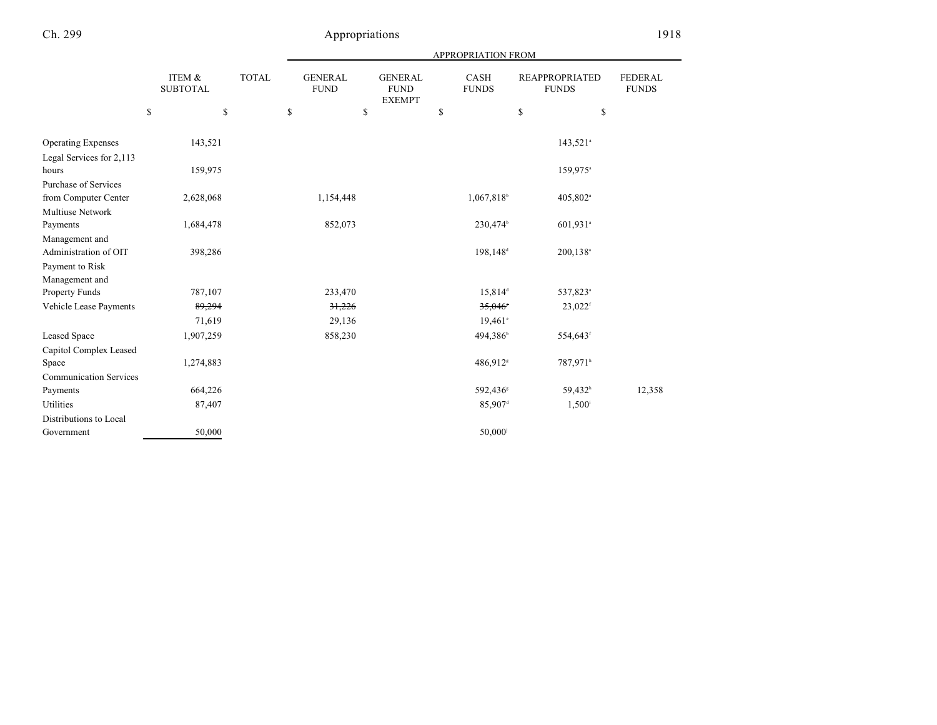|                                  |                           |              | <b>APPROPRIATION FROM</b>     |    |                                                |    |                             |    |                                       |                                |  |  |
|----------------------------------|---------------------------|--------------|-------------------------------|----|------------------------------------------------|----|-----------------------------|----|---------------------------------------|--------------------------------|--|--|
|                                  | ITEM &<br><b>SUBTOTAL</b> | <b>TOTAL</b> | <b>GENERAL</b><br><b>FUND</b> |    | <b>GENERAL</b><br><b>FUND</b><br><b>EXEMPT</b> |    | <b>CASH</b><br><b>FUNDS</b> |    | <b>REAPPROPRIATED</b><br><b>FUNDS</b> | <b>FEDERAL</b><br><b>FUNDS</b> |  |  |
|                                  | \$                        | \$           | \$                            | \$ |                                                | \$ |                             | \$ | \$                                    |                                |  |  |
| <b>Operating Expenses</b>        | 143,521                   |              |                               |    |                                                |    |                             |    | $143,521$ <sup>a</sup>                |                                |  |  |
| Legal Services for 2,113         |                           |              |                               |    |                                                |    |                             |    |                                       |                                |  |  |
| hours                            | 159,975                   |              |                               |    |                                                |    |                             |    | 159,975 <sup>a</sup>                  |                                |  |  |
| Purchase of Services             |                           |              |                               |    |                                                |    |                             |    |                                       |                                |  |  |
| from Computer Center             | 2,628,068                 |              | 1,154,448                     |    |                                                |    | 1,067,818 <sup>b</sup>      |    | 405,802 <sup>a</sup>                  |                                |  |  |
| Multiuse Network                 |                           |              |                               |    |                                                |    |                             |    |                                       |                                |  |  |
| Payments                         | 1,684,478                 |              | 852,073                       |    |                                                |    | 230,474 <sup>b</sup>        |    | 601,931 <sup>a</sup>                  |                                |  |  |
| Management and                   |                           |              |                               |    |                                                |    |                             |    |                                       |                                |  |  |
| Administration of OIT            | 398,286                   |              |                               |    |                                                |    | 198,148 <sup>d</sup>        |    | 200,138 <sup>a</sup>                  |                                |  |  |
| Payment to Risk                  |                           |              |                               |    |                                                |    |                             |    |                                       |                                |  |  |
| Management and<br>Property Funds | 787,107                   |              | 233,470                       |    |                                                |    | 15,814 <sup>d</sup>         |    | 537,823 <sup>a</sup>                  |                                |  |  |
|                                  |                           |              | 31,226                        |    |                                                |    | 35,046                      |    |                                       |                                |  |  |
| Vehicle Lease Payments           | 89,294                    |              |                               |    |                                                |    |                             |    | $23,022$ <sup>f</sup>                 |                                |  |  |
|                                  | 71,619                    |              | 29,136                        |    |                                                |    | $19,461^{\circ}$            |    |                                       |                                |  |  |
| <b>Leased Space</b>              | 1,907,259                 |              | 858,230                       |    |                                                |    | 494,386 <sup>b</sup>        |    | 554,643 <sup>f</sup>                  |                                |  |  |
| Capitol Complex Leased           |                           |              |                               |    |                                                |    |                             |    |                                       |                                |  |  |
| Space                            | 1,274,883                 |              |                               |    |                                                |    | 486,912 <sup>s</sup>        |    | 787,971 <sup>h</sup>                  |                                |  |  |
| <b>Communication Services</b>    |                           |              |                               |    |                                                |    |                             |    |                                       |                                |  |  |
| Payments                         | 664,226                   |              |                               |    |                                                |    | 592,436 <sup>s</sup>        |    | 59,432h                               | 12,358                         |  |  |
| Utilities                        | 87,407                    |              |                               |    |                                                |    | 85,907 <sup>d</sup>         |    | $1,500^{\rm i}$                       |                                |  |  |
| Distributions to Local           |                           |              |                               |    |                                                |    |                             |    |                                       |                                |  |  |
| Government                       | 50,000                    |              |                               |    |                                                |    | 50,000                      |    |                                       |                                |  |  |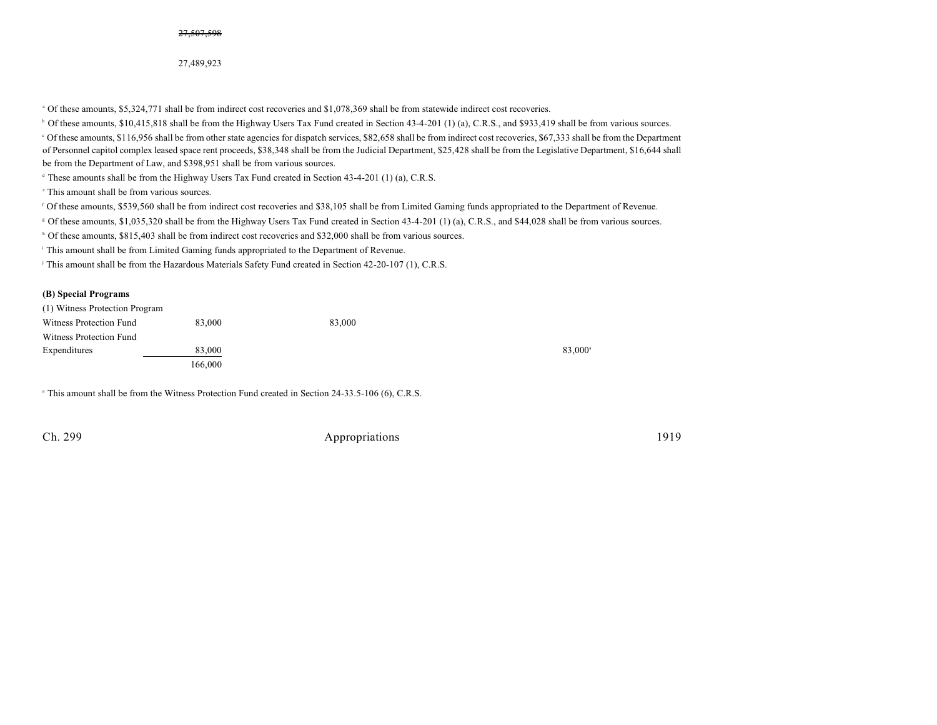27,489,923

Of these amounts, \$5,324,771 shall be from indirect cost recoveries and \$1,078,369 shall be from statewide indirect cost recoveries. <sup>a</sup>

<sup>b</sup> Of these amounts, \$10,415,818 shall be from the Highway Users Tax Fund created in Section 43-4-201 (1) (a), C.R.S., and \$933,419 shall be from various sources.

Of these amounts, \$116,956 shall be from other state agencies for dispatch services, \$82,658 shall be from indirect cost recoveries, \$67,333 shall be from the Department <sup>c</sup> of Personnel capitol complex leased space rent proceeds, \$38,348 shall be from the Judicial Department, \$25,428 shall be from the Legislative Department, \$16,644 shall be from the Department of Law, and \$398,951 shall be from various sources.

 $\textdegree$  These amounts shall be from the Highway Users Tax Fund created in Section 43-4-201 (1) (a), C.R.S.

 $\cdot$  This amount shall be from various sources.

<sup>f</sup> Of these amounts, \$539,560 shall be from indirect cost recoveries and \$38,105 shall be from Limited Gaming funds appropriated to the Department of Revenue.

Of these amounts, \$1,035,320 shall be from the Highway Users Tax Fund created in Section 43-4-201 (1) (a), C.R.S., and \$44,028 shall be from various sources. <sup>g</sup>

<sup>b</sup> Of these amounts, \$815,403 shall be from indirect cost recoveries and \$32,000 shall be from various sources.

<sup>i</sup> This amount shall be from Limited Gaming funds appropriated to the Department of Revenue.

<sup>j</sup> This amount shall be from the Hazardous Materials Safety Fund created in Section 42-20-107 (1), C.R.S.

### **(B) Special Programs**

| (1) Witness Protection Program |         |        |        |
|--------------------------------|---------|--------|--------|
| Witness Protection Fund        | 83,000  | 83,000 |        |
| Witness Protection Fund        |         |        |        |
| Expenditures                   | 83,000  |        | 83,000 |
|                                | 166.000 |        |        |

<sup>a</sup> This amount shall be from the Witness Protection Fund created in Section 24-33.5-106 (6), C.R.S.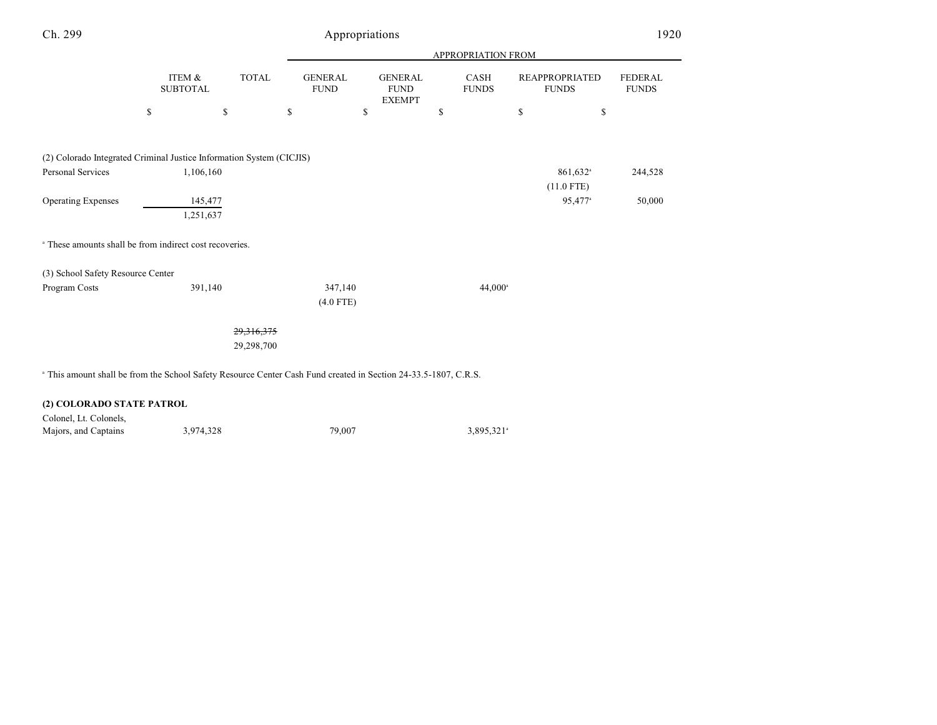| Ch. 299                                                                                                                    | Appropriations            |              |    |                               |    |                                                |    |                      |    |                                       | 1920                           |  |
|----------------------------------------------------------------------------------------------------------------------------|---------------------------|--------------|----|-------------------------------|----|------------------------------------------------|----|----------------------|----|---------------------------------------|--------------------------------|--|
|                                                                                                                            |                           |              |    | APPROPRIATION FROM            |    |                                                |    |                      |    |                                       |                                |  |
|                                                                                                                            | ITEM &<br><b>SUBTOTAL</b> | <b>TOTAL</b> |    | <b>GENERAL</b><br><b>FUND</b> |    | <b>GENERAL</b><br><b>FUND</b><br><b>EXEMPT</b> |    | CASH<br><b>FUNDS</b> |    | <b>REAPPROPRIATED</b><br><b>FUNDS</b> | <b>FEDERAL</b><br><b>FUNDS</b> |  |
|                                                                                                                            | \$                        | \$           | \$ |                               | \$ |                                                | \$ |                      | \$ | \$                                    |                                |  |
| (2) Colorado Integrated Criminal Justice Information System (CICJIS)                                                       |                           |              |    |                               |    |                                                |    |                      |    |                                       |                                |  |
| Personal Services                                                                                                          | 1,106,160                 |              |    |                               |    |                                                |    |                      |    | 861,632 <sup>a</sup><br>$(11.0$ FTE)  | 244,528                        |  |
| <b>Operating Expenses</b>                                                                                                  | 145,477<br>1,251,637      |              |    |                               |    |                                                |    |                      |    | 95,477 <sup>a</sup>                   | 50,000                         |  |
| <sup>a</sup> These amounts shall be from indirect cost recoveries.                                                         |                           |              |    |                               |    |                                                |    |                      |    |                                       |                                |  |
| (3) School Safety Resource Center                                                                                          |                           |              |    |                               |    |                                                |    |                      |    |                                       |                                |  |
| Program Costs                                                                                                              | 391,140                   |              |    | 347,140<br>$(4.0$ FTE)        |    |                                                |    | $44,000^{\circ}$     |    |                                       |                                |  |
|                                                                                                                            |                           | 29,316,375   |    |                               |    |                                                |    |                      |    |                                       |                                |  |
|                                                                                                                            |                           | 29,298,700   |    |                               |    |                                                |    |                      |    |                                       |                                |  |
| <sup>a</sup> This amount shall be from the School Safety Resource Center Cash Fund created in Section 24-33.5-1807, C.R.S. |                           |              |    |                               |    |                                                |    |                      |    |                                       |                                |  |

### **(2) COLORADO STATE PATROL**

| Colonel, Lt. Colonels, |           |        |                        |
|------------------------|-----------|--------|------------------------|
| Majors, and Captains   | 3,974,328 | 79.007 | 3,895,321 <sup>a</sup> |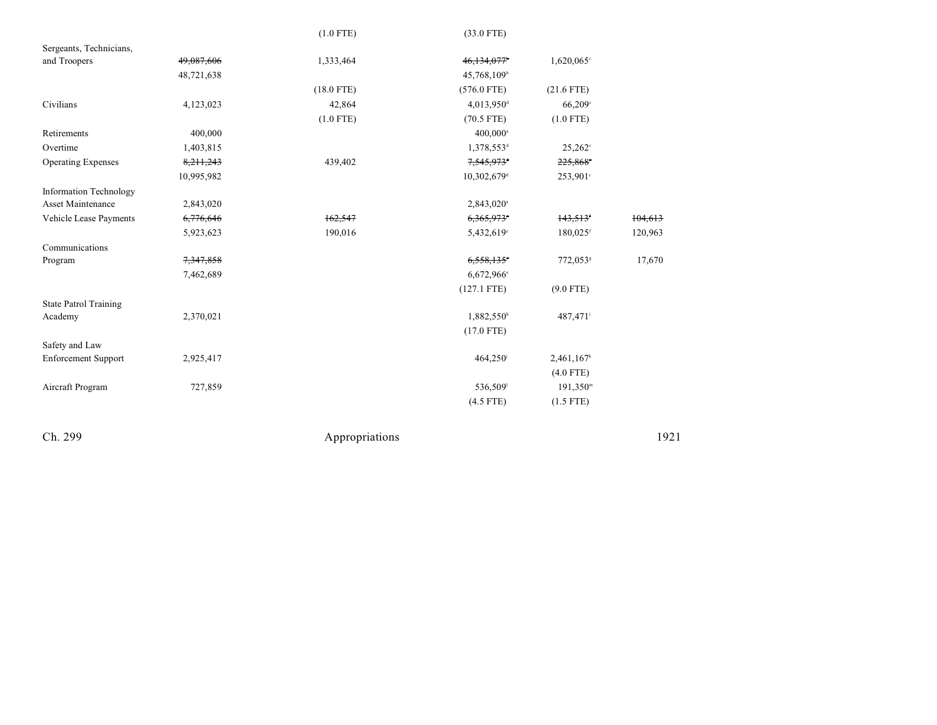|                               |             | $(1.0$ FTE)  | $(33.0$ FTE)             |                      |         |
|-------------------------------|-------------|--------------|--------------------------|----------------------|---------|
| Sergeants, Technicians,       |             |              |                          |                      |         |
| and Troopers                  | 49,087,606  | 1,333,464    | 46,134,077               | $1,620,065$ °        |         |
|                               | 48,721,638  |              | 45,768,109               |                      |         |
|                               |             | $(18.0$ FTE) | $(576.0$ FTE)            | $(21.6$ FTE)         |         |
| Civilians                     | 4,123,023   | 42,864       | 4,013,950 <sup>d</sup>   | 66,209°              |         |
|                               |             | $(1.0$ FTE)  | $(70.5$ FTE)             | $(1.0$ FTE)          |         |
| Retirements                   | 400,000     |              | $400,000^{\circ}$        |                      |         |
| Overtime                      | 1,403,815   |              | 1,378,553 <sup>d</sup>   | $25,262^{\circ}$     |         |
| <b>Operating Expenses</b>     | 8, 211, 243 | 439,402      | $7,545,973$ <sup>+</sup> | 225,868°             |         |
|                               | 10,995,982  |              | 10,302,679 <sup>d</sup>  | 253,901°             |         |
| <b>Information Technology</b> |             |              |                          |                      |         |
| Asset Maintenance             | 2,843,020   |              | 2,843,020 <sup>a</sup>   |                      |         |
| Vehicle Lease Payments        | 6,776,646   | 162,547      | 6,365,973°               | 143,513              | 104,613 |
|                               | 5,923,623   | 190,016      | 5,432,619°               | 180,025 <sup>f</sup> | 120,963 |
| Communications                |             |              |                          |                      |         |
| Program                       | 7,347,858   |              | 6,558,135°               | 772,053 <sup>s</sup> | 17,670  |
|                               | 7,462,689   |              | 6,672,966 <sup>e</sup>   |                      |         |
|                               |             |              | $(127.1$ FTE)            | $(9.0$ FTE)          |         |
| <b>State Patrol Training</b>  |             |              |                          |                      |         |
| Academy                       | 2,370,021   |              | 1,882,550h               | 487,471              |         |
|                               |             |              | $(17.0$ FTE)             |                      |         |
| Safety and Law                |             |              |                          |                      |         |
| <b>Enforcement Support</b>    | 2,925,417   |              | 464,250                  | 2,461,167            |         |
|                               |             |              |                          | $(4.0$ FTE)          |         |
| Aircraft Program              | 727,859     |              | 536,509                  | $191,350^{\rm m}$    |         |
|                               |             |              | $(4.5$ FTE)              | $(1.5$ FTE)          |         |
|                               |             |              |                          |                      |         |

Ch. 299

Appropriations

1 9 2 1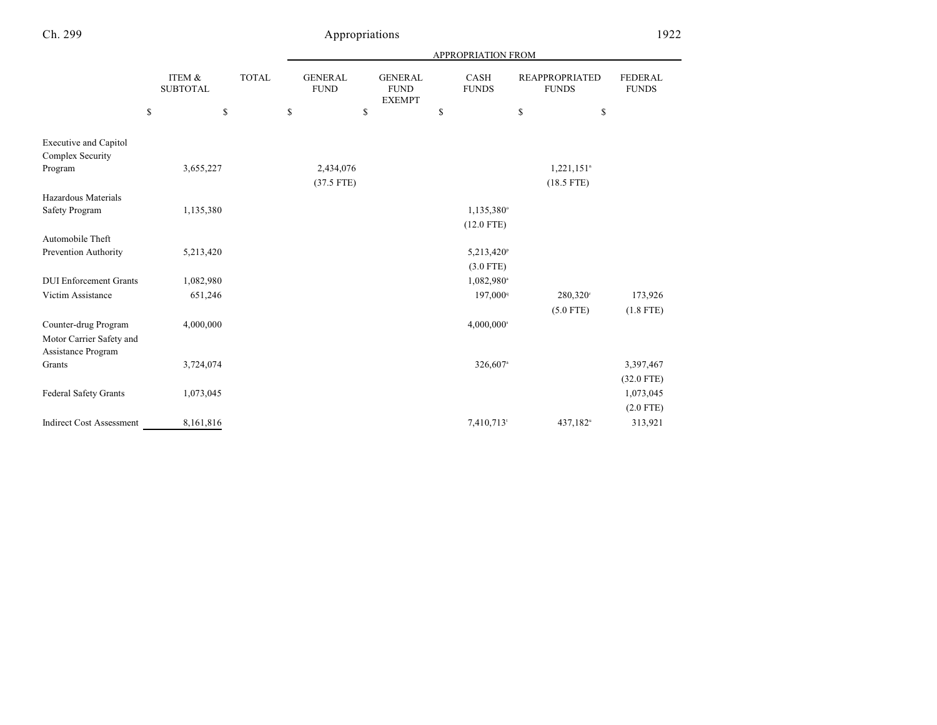|                                                  |                           |              |    |                               |    |                                                |    | APPROPRIATION FROM     |                                       |                          |                         |
|--------------------------------------------------|---------------------------|--------------|----|-------------------------------|----|------------------------------------------------|----|------------------------|---------------------------------------|--------------------------|-------------------------|
|                                                  | ITEM &<br><b>SUBTOTAL</b> | <b>TOTAL</b> |    | <b>GENERAL</b><br><b>FUND</b> |    | <b>GENERAL</b><br><b>FUND</b><br><b>EXEMPT</b> |    | CASH<br><b>FUNDS</b>   | <b>REAPPROPRIATED</b><br><b>FUNDS</b> |                          | FEDERAL<br><b>FUNDS</b> |
|                                                  | \$                        | \$           | \$ |                               | \$ |                                                | \$ |                        | ${\mathbb S}$                         | \$                       |                         |
| <b>Executive and Capitol</b><br>Complex Security |                           |              |    |                               |    |                                                |    |                        |                                       |                          |                         |
| Program                                          | 3,655,227                 |              |    | 2,434,076                     |    |                                                |    |                        |                                       | $1,221,151$ <sup>n</sup> |                         |
|                                                  |                           |              |    | $(37.5$ FTE)                  |    |                                                |    |                        |                                       | $(18.5$ FTE)             |                         |
| Hazardous Materials                              |                           |              |    |                               |    |                                                |    |                        |                                       |                          |                         |
| Safety Program                                   | 1,135,380                 |              |    |                               |    |                                                |    | 1,135,380°             |                                       |                          |                         |
|                                                  |                           |              |    |                               |    |                                                |    | $(12.0$ FTE)           |                                       |                          |                         |
| Automobile Theft                                 |                           |              |    |                               |    |                                                |    |                        |                                       |                          |                         |
| Prevention Authority                             | 5,213,420                 |              |    |                               |    |                                                |    | 5,213,420 <sup>p</sup> |                                       |                          |                         |
|                                                  |                           |              |    |                               |    |                                                |    | $(3.0$ FTE)            |                                       |                          |                         |
| <b>DUI Enforcement Grants</b>                    | 1,082,980                 |              |    |                               |    |                                                |    | 1,082,980 <sup>a</sup> |                                       |                          |                         |
| Victim Assistance                                | 651,246                   |              |    |                               |    |                                                |    | 197,000 <sup>q</sup>   |                                       | 280,320                  | 173,926                 |
|                                                  |                           |              |    |                               |    |                                                |    |                        |                                       | $(5.0$ FTE)              | $(1.8$ FTE)             |
| Counter-drug Program                             | 4,000,000                 |              |    |                               |    |                                                |    | 4,000,000 <sup>s</sup> |                                       |                          |                         |
| Motor Carrier Safety and<br>Assistance Program   |                           |              |    |                               |    |                                                |    |                        |                                       |                          |                         |
| Grants                                           | 3,724,074                 |              |    |                               |    |                                                |    | 326,607 <sup>a</sup>   |                                       |                          | 3,397,467               |
|                                                  |                           |              |    |                               |    |                                                |    |                        |                                       |                          | $(32.0$ FTE)            |
| <b>Federal Safety Grants</b>                     | 1,073,045                 |              |    |                               |    |                                                |    |                        |                                       |                          | 1,073,045               |
|                                                  |                           |              |    |                               |    |                                                |    |                        |                                       |                          | $(2.0$ FTE)             |
| <b>Indirect Cost Assessment</b>                  | 8,161,816                 |              |    |                               |    |                                                |    | 7,410,713              |                                       | 437,182 <sup>u</sup>     | 313,921                 |
|                                                  |                           |              |    |                               |    |                                                |    |                        |                                       |                          |                         |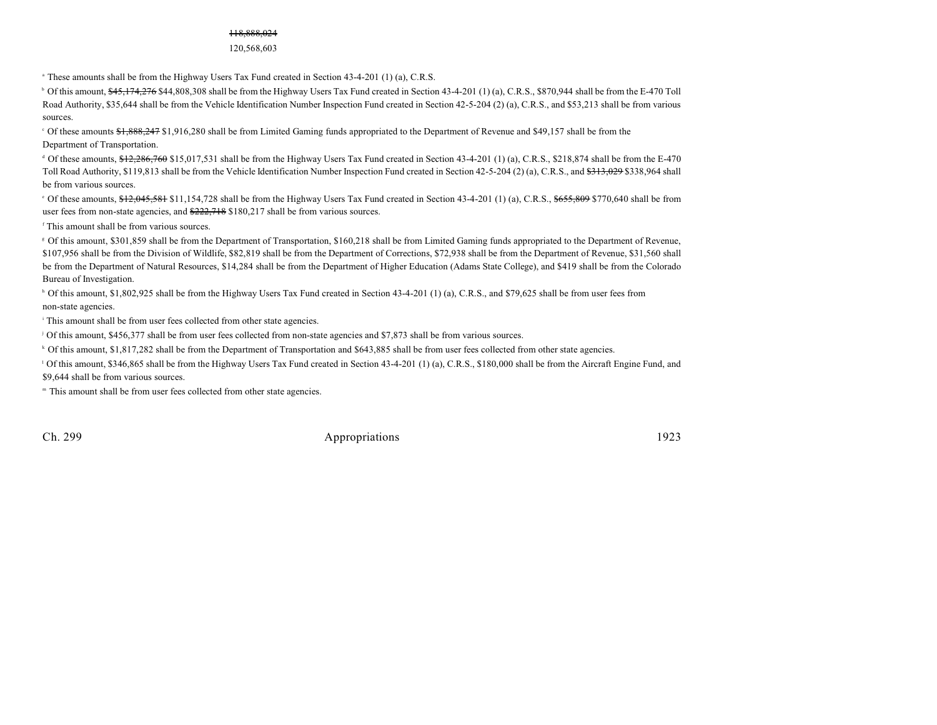### 118,888,024

120,568,603

 $\alpha$  These amounts shall be from the Highway Users Tax Fund created in Section 43-4-201 (1) (a), C.R.S.

 $\degree$  Of this amount,  $\frac{645,174,276,844,808,308,81}{}$  be from the Highway Users Tax Fund created in Section 43-4-201 (1) (a), C.R.S., \$870,944 shall be from the E-470 Toll Road Authority, \$35,644 shall be from the Vehicle Identification Number Inspection Fund created in Section 42-5-204 (2) (a), C.R.S., and \$53,213 shall be from various sources.

 $\degree$  Of these amounts  $\frac{1888,247}{1,916,280}$  shall be from Limited Gaming funds appropriated to the Department of Revenue and \$49,157 shall be from the Department of Transportation.

 $\alpha$  Of these amounts,  $\frac{12,286,760,515,017,531}$  shall be from the Highway Users Tax Fund created in Section 43-4-201 (1) (a), C.R.S., \$218,874 shall be from the E-470 Toll Road Authority, \$119,813 shall be from the Vehicle Identification Number Inspection Fund created in Section 42-5-204 (2) (a), C.R.S., and \$313,029 \$338,964 shall be from various sources.

<sup>e</sup> Of these amounts, \$12,045,581 \$11,154,728 shall be from the Highway Users Tax Fund created in Section 43-4-201 (1) (a), C.R.S., \$655,809 \$770,640 shall be from user fees from non-state agencies, and  $\frac{222,718}{222,718}$  \$180,217 shall be from various sources.

<sup>f</sup> This amount shall be from various sources.

 Of this amount, \$301,859 shall be from the Department of Transportation, \$160,218 shall be from Limited Gaming funds appropriated to the Department of Revenue, <sup>g</sup> \$107,956 shall be from the Division of Wildlife, \$82,819 shall be from the Department of Corrections, \$72,938 shall be from the Department of Revenue, \$31,560 shall be from the Department of Natural Resources, \$14,284 shall be from the Department of Higher Education (Adams State College), and \$419 shall be from the Colorado Bureau of Investigation.

<sup>h</sup> Of this amount, \$1,802,925 shall be from the Highway Users Tax Fund created in Section 43-4-201 (1) (a), C.R.S., and \$79,625 shall be from user fees from non-state agencies.

<sup>i</sup> This amount shall be from user fees collected from other state agencies.

Of this amount, \$456,377 shall be from user fees collected from non-state agencies and \$7,873 shall be from various sources. <sup>j</sup>

Of this amount, \$1,817,282 shall be from the Department of Transportation and \$643,885 shall be from user fees collected from other state agencies. <sup>k</sup>

<sup>1</sup> Of this amount, \$346,865 shall be from the Highway Users Tax Fund created in Section 43-4-201 (1) (a), C.R.S., \$180,000 shall be from the Aircraft Engine Fund, and \$9,644 shall be from various sources.

<sup>m</sup> This amount shall be from user fees collected from other state agencies.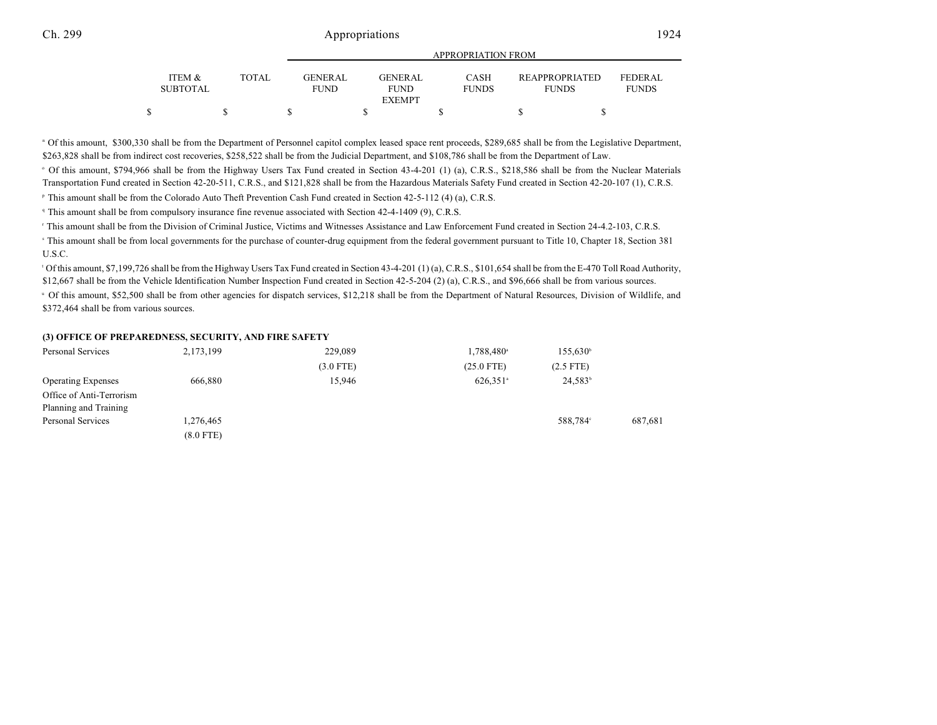|                                      |              |                               | APPROPRIATION FROM             |                             |                                       |                                |  |  |  |  |  |  |  |
|--------------------------------------|--------------|-------------------------------|--------------------------------|-----------------------------|---------------------------------------|--------------------------------|--|--|--|--|--|--|--|
| <b>ITEM &amp;</b><br><b>SUBTOTAL</b> | <b>TOTAL</b> | <b>GENERAL</b><br><b>FUND</b> | <b>GENER AL</b><br><b>FUND</b> | <b>CASH</b><br><b>FUNDS</b> | <b>REAPPROPRIATED</b><br><b>FUNDS</b> | <b>FEDERAL</b><br><b>FUNDS</b> |  |  |  |  |  |  |  |
|                                      |              |                               | <b>EXEMPT</b>                  |                             |                                       |                                |  |  |  |  |  |  |  |
|                                      |              |                               |                                |                             |                                       |                                |  |  |  |  |  |  |  |

APPROPRIATION FROM

" Of this amount, \$300,330 shall be from the Department of Personnel capitol complex leased space rent proceeds, \$289,685 shall be from the Legislative Department, \$263,828 shall be from indirect cost recoveries, \$258,522 shall be from the Judicial Department, and \$108,786 shall be from the Department of Law.

Of this amount, \$794,966 shall be from the Highway Users Tax Fund created in Section 43-4-201 (1) (a), C.R.S., \$218,586 shall be from the Nuclear Materials <sup>o</sup> Transportation Fund created in Section 42-20-511, C.R.S., and \$121,828 shall be from the Hazardous Materials Safety Fund created in Section 42-20-107 (1), C.R.S.

<sup>P</sup> This amount shall be from the Colorado Auto Theft Prevention Cash Fund created in Section 42-5-112 (4) (a), C.R.S.

This amount shall be from compulsory insurance fine revenue associated with Section 42-4-1409 (9), C.R.S. <sup>q</sup>

<sup>r</sup> This amount shall be from the Division of Criminal Justice, Victims and Witnesses Assistance and Law Enforcement Fund created in Section 24-4.2-103, C.R.S.

<sup>s</sup> This amount shall be from local governments for the purchase of counter-drug equipment from the federal government pursuant to Title 10, Chapter 18, Section 381 U.S.C.

<sup>1</sup> Of this amount, \$7,199,726 shall be from the Highway Users Tax Fund created in Section 43-4-201 (1) (a), C.R.S., \$101,654 shall be from the E-470 Toll Road Authority, \$12,667 shall be from the Vehicle Identification Number Inspection Fund created in Section 42-5-204 (2) (a), C.R.S., and \$96,666 shall be from various sources.

U Of this amount, \$52,500 shall be from other agencies for dispatch services, \$12,218 shall be from the Department of Natural Resources, Division of Wildlife, and \$372,464 shall be from various sources.

#### **(3) OFFICE OF PREPAREDNESS, SECURITY, AND FIRE SAFETY**

| 2, 173, 199 | 229,089     | 1,788,480 <sup>a</sup> | $155,630^{\circ}$ |         |
|-------------|-------------|------------------------|-------------------|---------|
|             | $(3.0$ FTE) | $(25.0$ FTE)           | $(2.5$ FTE)       |         |
| 666,880     | 15,946      | $626,351$ <sup>a</sup> | $24,583^{\circ}$  |         |
|             |             |                        |                   |         |
|             |             |                        |                   |         |
| 1,276,465   |             |                        | 588.784°          | 687,681 |
| $(8.0$ FTE) |             |                        |                   |         |
|             |             |                        |                   |         |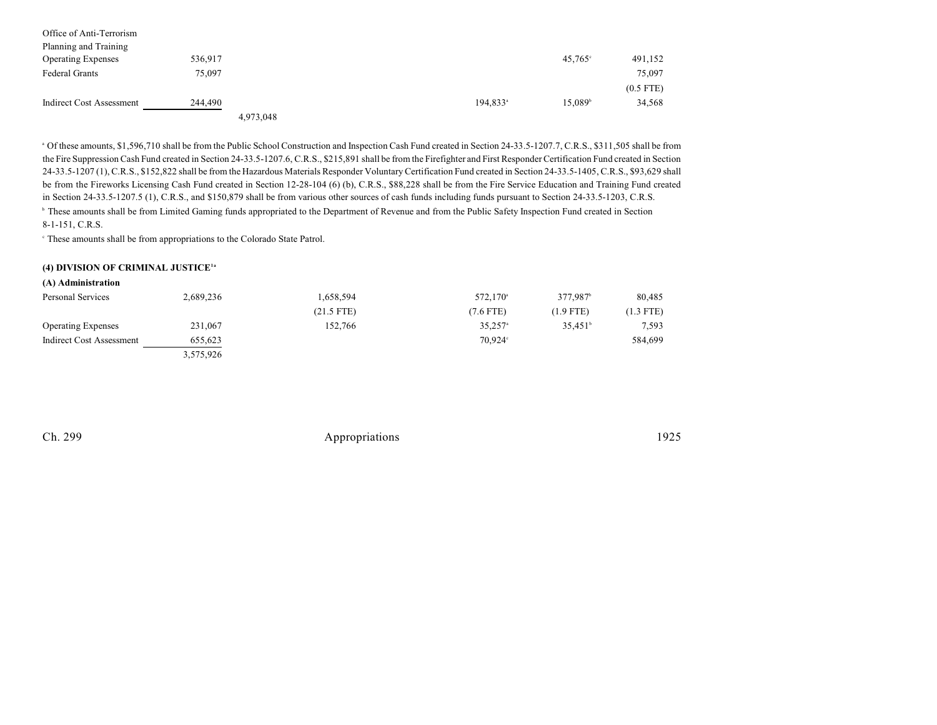| Office of Anti-Terrorism<br>Planning and Training |         |           |                   |                  |             |
|---------------------------------------------------|---------|-----------|-------------------|------------------|-------------|
| <b>Operating Expenses</b>                         | 536,917 |           |                   | $45,765^{\circ}$ | 491,152     |
| <b>Federal Grants</b>                             | 75,097  |           |                   |                  | 75,097      |
|                                                   |         |           |                   |                  | $(0.5$ FTE) |
| Indirect Cost Assessment                          | 244,490 |           | $194.833^{\circ}$ | $15.089^{\circ}$ | 34,568      |
|                                                   |         | 4,973,048 |                   |                  |             |

<sup>a</sup> Of these amounts, \$1,596,710 shall be from the Public School Construction and Inspection Cash Fund created in Section 24-33.5-1207.7, C.R.S., \$311,505 shall be from the Fire Suppression Cash Fund created in Section 24-33.5-1207.6, C.R.S., \$215,891 shall be from the Firefighter and First Responder Certification Fund created in Section 24-33.5-1207 (1), C.R.S., \$152,822 shall be from the Hazardous Materials Responder VoluntaryCertification Fund created in Section 24-33.5-1405, C.R.S., \$93,629 shall be from the Fireworks Licensing Cash Fund created in Section 12-28-104 (6) (b), C.R.S., \$88,228 shall be from the Fire Service Education and Training Fund created in Section 24-33.5-1207.5 (1), C.R.S., and \$150,879 shall be from various other sources of cash funds including funds pursuant to Section 24-33.5-1203, C.R.S. **b** These amounts shall be from Limited Gaming funds appropriated to the Department of Revenue and from the Public Safety Inspection Fund created in Section 8-1-151, C.R.S.

These amounts shall be from appropriations to the Colorado State Patrol. <sup>c</sup>

### **(4) DIVISION OF CRIMINAL JUSTICE1a**

| (A) Administration        |           |              |                       |                      |           |
|---------------------------|-----------|--------------|-----------------------|----------------------|-----------|
| Personal Services         | 2,689,236 | 1,658,594    | 572,170 <sup>a</sup>  | 377.987 <sup>b</sup> | 80,485    |
|                           |           | $(21.5$ FTE) | (7.6 FTE)             | $(1.9$ FTE)          | (1.3 FTE) |
| <b>Operating Expenses</b> | 231,067   | 152.766      | $35,257$ <sup>a</sup> | $35.451^{\circ}$     | 7,593     |
| Indirect Cost Assessment  | 655,623   |              | $70.924^{\circ}$      |                      | 584,699   |
|                           | 3,575,926 |              |                       |                      |           |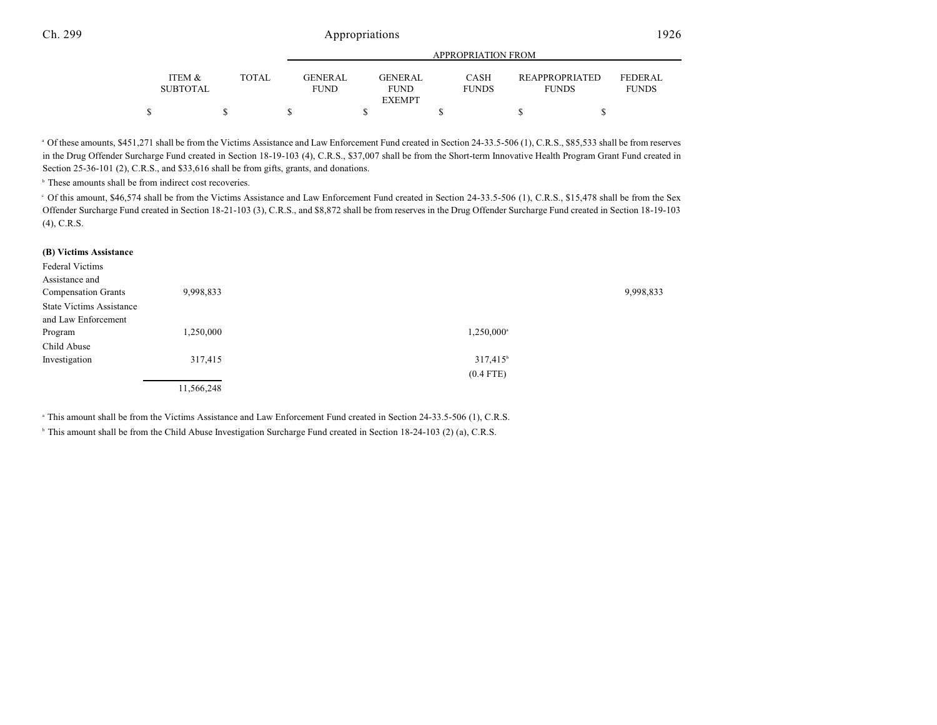|                           |       | <b>APPROPRIATION FROM</b> |  |                        |  |                             |  |                                |  |                                |
|---------------------------|-------|---------------------------|--|------------------------|--|-----------------------------|--|--------------------------------|--|--------------------------------|
| ITEM &<br><b>SUBTOTAL</b> | TOTAL | GENERAL<br><b>FUND</b>    |  | GENERAL<br><b>FUND</b> |  | <b>CASH</b><br><b>FUNDS</b> |  | REAPPROPRIATED<br><b>FUNDS</b> |  | <b>FEDERAL</b><br><b>FUNDS</b> |
|                           |       |                           |  | <b>EXEMPT</b>          |  |                             |  |                                |  |                                |
|                           |       |                           |  |                        |  |                             |  |                                |  |                                |

<sup>a</sup> Of these amounts, \$451,271 shall be from the Victims Assistance and Law Enforcement Fund created in Section 24-33.5-506 (1), C.R.S., \$85,533 shall be from reserves in the Drug Offender Surcharge Fund created in Section 18-19-103 (4), C.R.S., \$37,007 shall be from the Short-term Innovative Health Program Grant Fund created in Section 25-36-101 (2), C.R.S., and \$33,616 shall be from gifts, grants, and donations.

 $<sup>b</sup>$  These amounts shall be from indirect cost recoveries.</sup>

Of this amount, \$46,574 shall be from the Victims Assistance and Law Enforcement Fund created in Section 24-33.5-506 (1), C.R.S., \$15,478 shall be from the Sex <sup>c</sup> Offender Surcharge Fund created in Section 18-21-103 (3), C.R.S., and \$8,872 shall be from reserves in the Drug Offender Surcharge Fund created in Section 18-19-103 (4), C.R.S.

#### **(B) Victims Assistance**

| Federal Victims<br>Assistance and<br><b>Compensation Grants</b> | 9,998,833  |                     | 9,998,833 |
|-----------------------------------------------------------------|------------|---------------------|-----------|
| <b>State Victims Assistance</b>                                 |            |                     |           |
| and Law Enforcement                                             |            |                     |           |
| Program                                                         | 1,250,000  | $1,250,000^{\circ}$ |           |
| Child Abuse                                                     |            |                     |           |
| Investigation                                                   | 317,415    | $317,415^{\circ}$   |           |
|                                                                 |            | $(0.4$ FTE)         |           |
|                                                                 | 11,566,248 |                     |           |

<sup>a</sup> This amount shall be from the Victims Assistance and Law Enforcement Fund created in Section 24-33.5-506 (1), C.R.S.

<sup>b</sup> This amount shall be from the Child Abuse Investigation Surcharge Fund created in Section 18-24-103 (2) (a), C.R.S.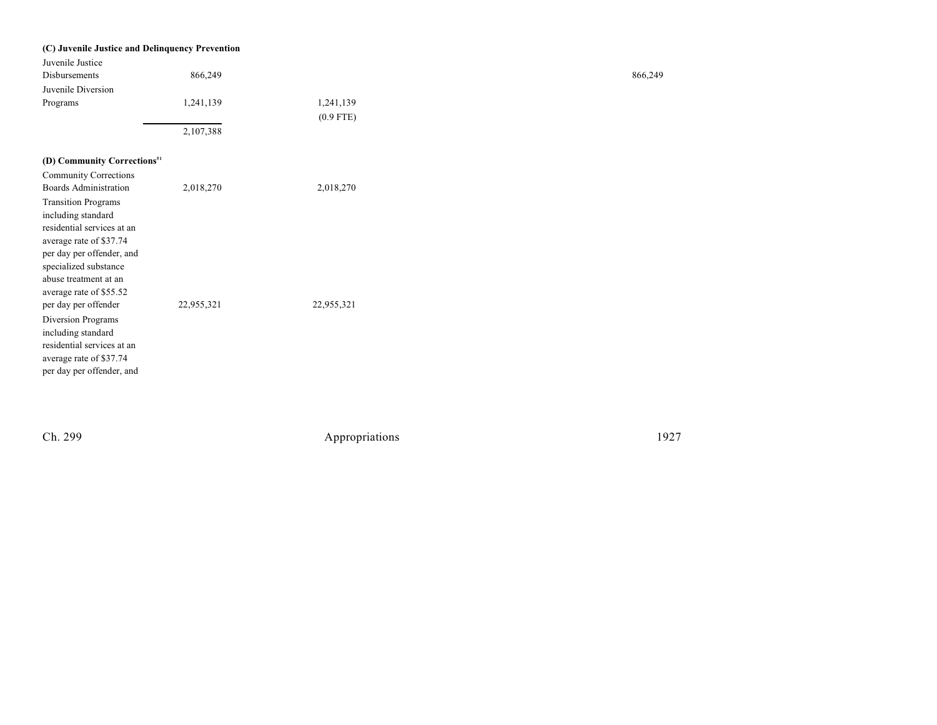| (C) Juvenile Justice and Delinquency Prevention |            |             |        |
|-------------------------------------------------|------------|-------------|--------|
| Juvenile Justice                                |            |             |        |
| Disbursements                                   | 866,249    |             | 866,24 |
| Juvenile Diversion                              |            |             |        |
| Programs                                        | 1,241,139  | 1,241,139   |        |
|                                                 |            | $(0.9$ FTE) |        |
|                                                 | 2,107,388  |             |        |
| (D) Community Corrections <sup>51</sup>         |            |             |        |
| <b>Community Corrections</b>                    |            |             |        |
| <b>Boards Administration</b>                    | 2,018,270  | 2,018,270   |        |
| <b>Transition Programs</b>                      |            |             |        |
| including standard                              |            |             |        |
| residential services at an                      |            |             |        |
| average rate of \$37.74                         |            |             |        |
| per day per offender, and                       |            |             |        |
| specialized substance                           |            |             |        |
| abuse treatment at an                           |            |             |        |
| average rate of \$55.52                         |            |             |        |
| per day per offender                            | 22,955,321 | 22,955,321  |        |
| Diversion Programs                              |            |             |        |
| including standard                              |            |             |        |
| residential services at an                      |            |             |        |
| average rate of \$37.74                         |            |             |        |
| per day per offender, and                       |            |             |        |

Ch. 299

Appropriations

1 9 2 7

866,249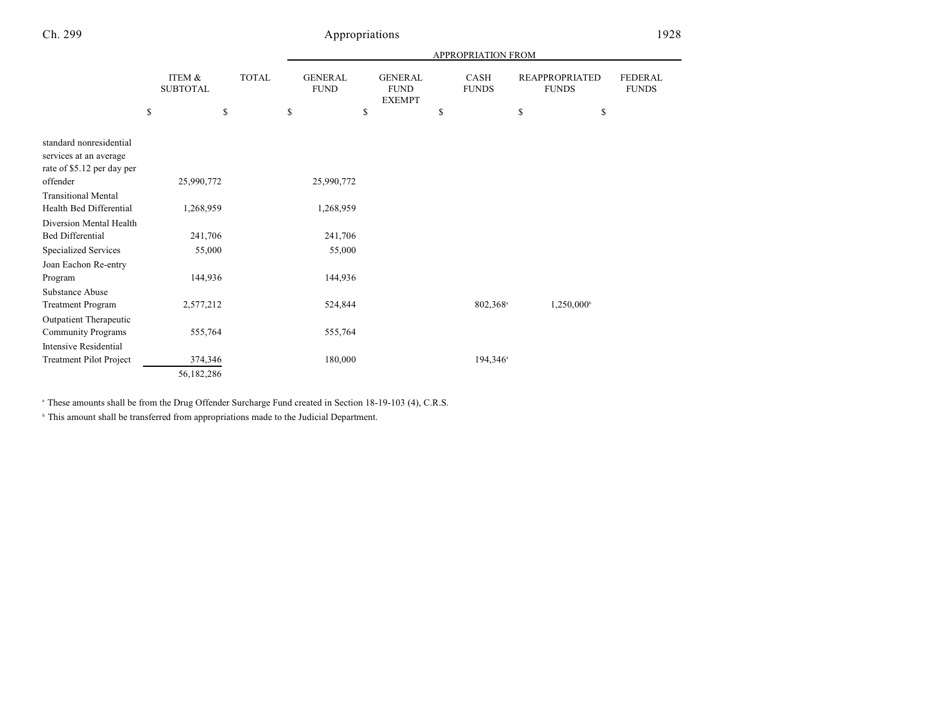|                                                                                 |                                 |    |              | APPROPRIATION FROM                  |    |                                                |    |                        |    |                                             |                                |
|---------------------------------------------------------------------------------|---------------------------------|----|--------------|-------------------------------------|----|------------------------------------------------|----|------------------------|----|---------------------------------------------|--------------------------------|
|                                                                                 | \$<br>ITEM &<br><b>SUBTOTAL</b> | \$ | <b>TOTAL</b> | \$<br><b>GENERAL</b><br><b>FUND</b> | \$ | <b>GENERAL</b><br><b>FUND</b><br><b>EXEMPT</b> | \$ | CASH<br><b>FUNDS</b>   | \$ | <b>REAPPROPRIATED</b><br><b>FUNDS</b><br>\$ | <b>FEDERAL</b><br><b>FUNDS</b> |
|                                                                                 |                                 |    |              |                                     |    |                                                |    |                        |    |                                             |                                |
| standard nonresidential<br>services at an average<br>rate of \$5.12 per day per |                                 |    |              |                                     |    |                                                |    |                        |    |                                             |                                |
| offender                                                                        | 25,990,772                      |    |              | 25,990,772                          |    |                                                |    |                        |    |                                             |                                |
| <b>Transitional Mental</b>                                                      |                                 |    |              |                                     |    |                                                |    |                        |    |                                             |                                |
| Health Bed Differential                                                         | 1,268,959                       |    |              | 1,268,959                           |    |                                                |    |                        |    |                                             |                                |
| Diversion Mental Health                                                         |                                 |    |              |                                     |    |                                                |    |                        |    |                                             |                                |
| <b>Bed Differential</b>                                                         | 241,706                         |    |              | 241,706                             |    |                                                |    |                        |    |                                             |                                |
| <b>Specialized Services</b>                                                     | 55,000                          |    |              | 55,000                              |    |                                                |    |                        |    |                                             |                                |
| Joan Eachon Re-entry                                                            |                                 |    |              |                                     |    |                                                |    |                        |    |                                             |                                |
| Program                                                                         | 144,936                         |    |              | 144,936                             |    |                                                |    |                        |    |                                             |                                |
| Substance Abuse                                                                 |                                 |    |              |                                     |    |                                                |    |                        |    |                                             |                                |
| <b>Treatment Program</b>                                                        | 2,577,212                       |    |              | 524,844                             |    |                                                |    | 802,368 <sup>a</sup>   |    | 1,250,000                                   |                                |
| Outpatient Therapeutic                                                          |                                 |    |              |                                     |    |                                                |    |                        |    |                                             |                                |
| <b>Community Programs</b>                                                       | 555,764                         |    |              | 555,764                             |    |                                                |    |                        |    |                                             |                                |
| <b>Intensive Residential</b>                                                    |                                 |    |              |                                     |    |                                                |    |                        |    |                                             |                                |
| <b>Treatment Pilot Project</b>                                                  | 374,346                         |    |              | 180,000                             |    |                                                |    | $194,346$ <sup>a</sup> |    |                                             |                                |
|                                                                                 | 56,182,286                      |    |              |                                     |    |                                                |    |                        |    |                                             |                                |

<sup>a</sup> These amounts shall be from the Drug Offender Surcharge Fund created in Section 18-19-103 (4), C.R.S.

 $\degree$  This amount shall be transferred from appropriations made to the Judicial Department.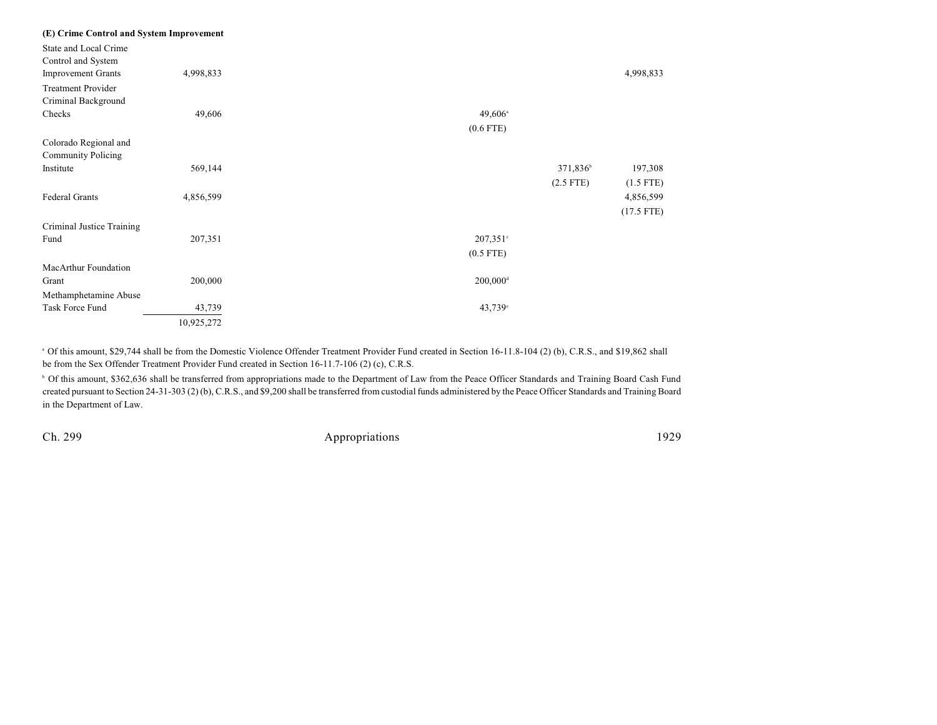| (E) Crime Control and System Improvement |            |                        |                      |              |
|------------------------------------------|------------|------------------------|----------------------|--------------|
| State and Local Crime                    |            |                        |                      |              |
| Control and System                       |            |                        |                      |              |
| <b>Improvement Grants</b>                | 4,998,833  |                        |                      | 4,998,833    |
| <b>Treatment Provider</b>                |            |                        |                      |              |
| Criminal Background                      |            |                        |                      |              |
| Checks                                   | 49,606     | $49,606^{\circ}$       |                      |              |
|                                          |            | $(0.6$ FTE)            |                      |              |
| Colorado Regional and                    |            |                        |                      |              |
| <b>Community Policing</b>                |            |                        |                      |              |
| Institute                                | 569,144    |                        | 371,836 <sup>b</sup> | 197,308      |
|                                          |            |                        | $(2.5$ FTE)          | $(1.5$ FTE)  |
| <b>Federal Grants</b>                    | 4,856,599  |                        |                      | 4,856,599    |
|                                          |            |                        |                      | $(17.5$ FTE) |
| Criminal Justice Training                |            |                        |                      |              |
| Fund                                     | 207,351    | $207,351^{\circ}$      |                      |              |
|                                          |            | $(0.5$ FTE)            |                      |              |
|                                          |            |                        |                      |              |
| MacArthur Foundation                     |            |                        |                      |              |
| Grant                                    | 200,000    | $200,000$ <sup>d</sup> |                      |              |
| Methamphetamine Abuse                    |            |                        |                      |              |
| Task Force Fund                          | 43,739     | $43,739$ °             |                      |              |
|                                          | 10,925,272 |                        |                      |              |

<sup>a</sup> Of this amount, \$29,744 shall be from the Domestic Violence Offender Treatment Provider Fund created in Section 16-11.8-104 (2) (b), C.R.S., and \$19,862 shall be from the Sex Offender Treatment Provider Fund created in Section 16-11.7-106 (2) (c), C.R.S.

<sup>6</sup> Of this amount, \$362,636 shall be transferred from appropriations made to the Department of Law from the Peace Officer Standards and Training Board Cash Fund created pursuant to Section 24-31-303 (2) (b), C.R.S., and \$9,200 shall be transferred from custodial funds administered by the Peace Officer Standards and Training Board in the Department of Law.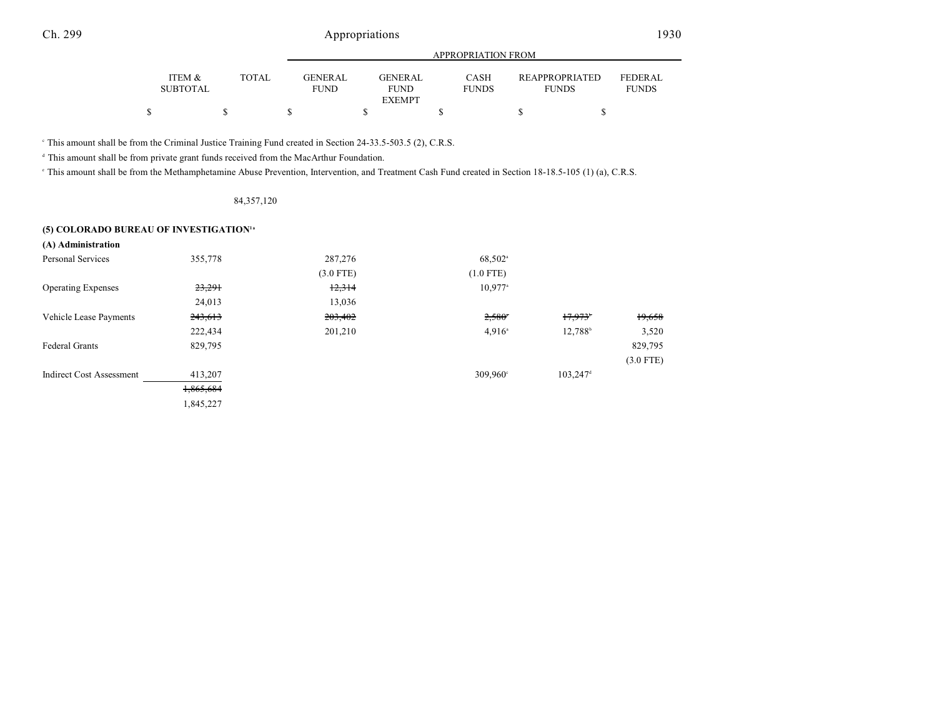|                           |              |                               | APPROPRIATION FROM     |                             |                                       |                                |  |  |  |  |
|---------------------------|--------------|-------------------------------|------------------------|-----------------------------|---------------------------------------|--------------------------------|--|--|--|--|
| ITEM &<br><b>SUBTOTAL</b> | <b>TOTAL</b> | <b>GENERAL</b><br><b>FUND</b> | GENERAL<br><b>FUND</b> | <b>CASH</b><br><b>FUNDS</b> | <b>REAPPROPRIATED</b><br><b>FUNDS</b> | <b>FEDERAL</b><br><b>FUNDS</b> |  |  |  |  |
|                           |              |                               | <b>EXEMPT</b>          |                             |                                       |                                |  |  |  |  |
|                           |              |                               |                        |                             |                                       |                                |  |  |  |  |

This amount shall be from the Criminal Justice Training Fund created in Section 24-33.5-503.5 (2), C.R.S. <sup>c</sup>

<sup>d</sup> This amount shall be from private grant funds received from the MacArthur Foundation.

<sup>e</sup> This amount shall be from the Methamphetamine Abuse Prevention, Intervention, and Treatment Cash Fund created in Section 18-18.5-105 (1) (a), C.R.S.

### 84,357,120

### **(5) COLORADO BUREAU OF INVESTIGATION 1a**

| (A) Administration              |           |             |                       |                        |             |
|---------------------------------|-----------|-------------|-----------------------|------------------------|-------------|
| <b>Personal Services</b>        | 355,778   | 287,276     | 68,502 <sup>a</sup>   |                        |             |
|                                 |           | $(3.0$ FTE) | $(1.0$ FTE)           |                        |             |
| <b>Operating Expenses</b>       | 23,291    | 12,314      | $10,977$ <sup>a</sup> |                        |             |
|                                 | 24,013    | 13,036      |                       |                        |             |
| Vehicle Lease Payments          | 243,613   | 203,402     | $2,580$ <sup>*</sup>  | 17,973                 | 19,658      |
|                                 | 222,434   | 201,210     | $4.916^{\circ}$       | 12,788 <sup>b</sup>    | 3,520       |
| <b>Federal Grants</b>           | 829,795   |             |                       |                        | 829,795     |
|                                 |           |             |                       |                        | $(3.0$ FTE) |
| <b>Indirect Cost Assessment</b> | 413,207   |             | $309,960^{\circ}$     | $103,247$ <sup>d</sup> |             |
|                                 | 1,865,684 |             |                       |                        |             |
|                                 | 1,845,227 |             |                       |                        |             |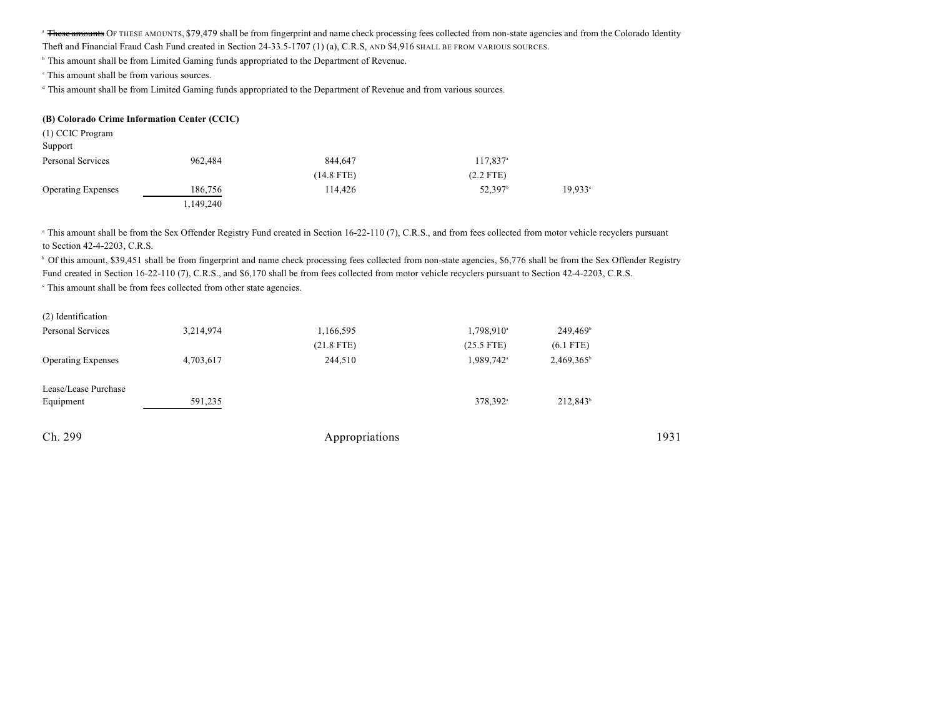<sup>a</sup> These amounts OF THESE AMOUNTS, \$79,479 shall be from fingerprint and name check processing fees collected from non-state agencies and from the Colorado Identity

Theft and Financial Fraud Cash Fund created in Section 24-33.5-1707 (1) (a), C.R.S, AND \$4,916 SHALL BE FROM VARIOUS SOURCES.

<sup>b</sup> This amount shall be from Limited Gaming funds appropriated to the Department of Revenue.

<sup>c</sup> This amount shall be from various sources.

<sup>d</sup> This amount shall be from Limited Gaming funds appropriated to the Department of Revenue and from various sources.

### **(B) Colorado Crime Information Center (CCIC)**

| (1) CCIC Program          |           |              |                        |                  |
|---------------------------|-----------|--------------|------------------------|------------------|
| Support                   |           |              |                        |                  |
| Personal Services         | 962,484   | 844,647      | $117,837$ <sup>a</sup> |                  |
|                           |           | $(14.8$ FTE) | $(2.2$ FTE)            |                  |
| <b>Operating Expenses</b> | 186,756   | 114,426      | 52,397 <sup>b</sup>    | $19.933^{\circ}$ |
|                           | 1,149,240 |              |                        |                  |

<sup>n</sup> This amount shall be from the Sex Offender Registry Fund created in Section 16-22-110 (7), C.R.S., and from fees collected from motor vehicle recyclers pursuant to Section 42-4-2203, C.R.S.

<sup>b</sup> Of this amount, \$39,451 shall be from fingerprint and name check processing fees collected from non-state agencies, \$6,776 shall be from the Sex Offender Registry Fund created in Section 16-22-110 (7), C.R.S., and \$6,170 shall be from fees collected from motor vehicle recyclers pursuant to Section 42-4-2203, C.R.S.

 $\degree$  This amount shall be from fees collected from other state agencies.

| Ch. 299                           |           | Appropriations            |                                        |                                     | 1931 |
|-----------------------------------|-----------|---------------------------|----------------------------------------|-------------------------------------|------|
| Lease/Lease Purchase<br>Equipment | 591,235   |                           | 378,392 <sup>a</sup>                   | 212,843 <sup>b</sup>                |      |
| <b>Operating Expenses</b>         | 4,703,617 | 244,510                   | 1,989,742 <sup>a</sup>                 | 2,469,365 <sup>b</sup>              |      |
| Personal Services                 | 3,214,974 | 1,166,595<br>$(21.8$ FTE) | 1,798,910 <sup>a</sup><br>$(25.5$ FTE) | 249,469 <sup>b</sup><br>$(6.1$ FTE) |      |
| (2) Identification                |           |                           |                                        |                                     |      |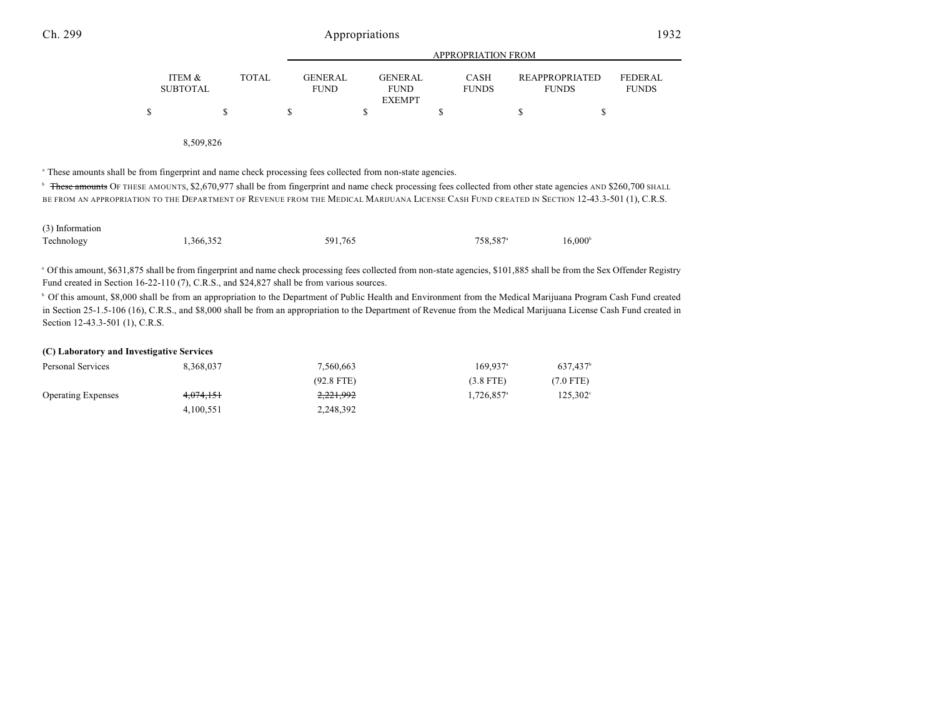|                                                                                                                                                                           |                                      |       |                               | <b>APPROPRIATION FROM</b>                      |                             |                                       |                                |  |  |
|---------------------------------------------------------------------------------------------------------------------------------------------------------------------------|--------------------------------------|-------|-------------------------------|------------------------------------------------|-----------------------------|---------------------------------------|--------------------------------|--|--|
|                                                                                                                                                                           | <b>ITEM &amp;</b><br><b>SUBTOTAL</b> | TOTAL | <b>GENERAL</b><br><b>FUND</b> | <b>GENERAL</b><br><b>FUND</b><br><b>EXEMPT</b> | <b>CASH</b><br><b>FUNDS</b> | <b>REAPPROPRIATED</b><br><b>FUNDS</b> | <b>FEDERAL</b><br><b>FUNDS</b> |  |  |
| \$.                                                                                                                                                                       |                                      |       |                               |                                                |                             |                                       |                                |  |  |
|                                                                                                                                                                           | 8.509.826                            |       |                               |                                                |                             |                                       |                                |  |  |
| <sup>a</sup> These amounts shall be from fingerprint and name check processing fees collected from non-state agencies.                                                    |                                      |       |                               |                                                |                             |                                       |                                |  |  |
| <sup>b</sup> These amounts OF THESE AMOUNTS, \$2,670,977 shall be from fingerprint and name check processing fees collected from other state agencies AND \$260,700 SHALL |                                      |       |                               |                                                |                             |                                       |                                |  |  |
| BE FROM AN APPROPRIATION TO THE DEPARTMENT OF REVENUE FROM THE MEDICAL MARIJUANA LICENSE CASH FUND CREATED IN SECTION 12-43.3-501 (1), C.R.S.                             |                                      |       |                               |                                                |                             |                                       |                                |  |  |

| (3) Information |           |         |                      |                  |
|-----------------|-----------|---------|----------------------|------------------|
| Technology      | 1,366,352 | 591.765 | 758.587 <sup>a</sup> | $16,000^{\circ}$ |

Of this amount, \$631,875 shall be from fingerprint and name check processing fees collected from non-state agencies, \$101,885 shall be from the Sex Offender Registry <sup>a</sup> Fund created in Section 16-22-110 (7), C.R.S., and \$24,827 shall be from various sources.

<sup>b</sup> Of this amount, \$8,000 shall be from an appropriation to the Department of Public Health and Environment from the Medical Marijuana Program Cash Fund created in Section 25-1.5-106 (16), C.R.S., and \$8,000 shall be from an appropriation to the Department of Revenue from the Medical Marijuana License Cash Fund created in Section 12-43.3-501 (1), C.R.S.

### **(C) Laboratory and Investigative Services**

| Personal Services         | 8.368.037 | 7,560,663            | $169.937$ <sup>a</sup>   | 637.437 <sup>b</sup> |
|---------------------------|-----------|----------------------|--------------------------|----------------------|
|                           |           | $(92.8$ FTE)         | $(3.8$ FTE)              | (7.0 FTE)            |
| <b>Operating Expenses</b> | 4,074,151 | <del>2,221,992</del> | $1.726.857$ <sup>a</sup> | 125,302 <sup>°</sup> |
|                           | 4.100.551 | 2,248,392            |                          |                      |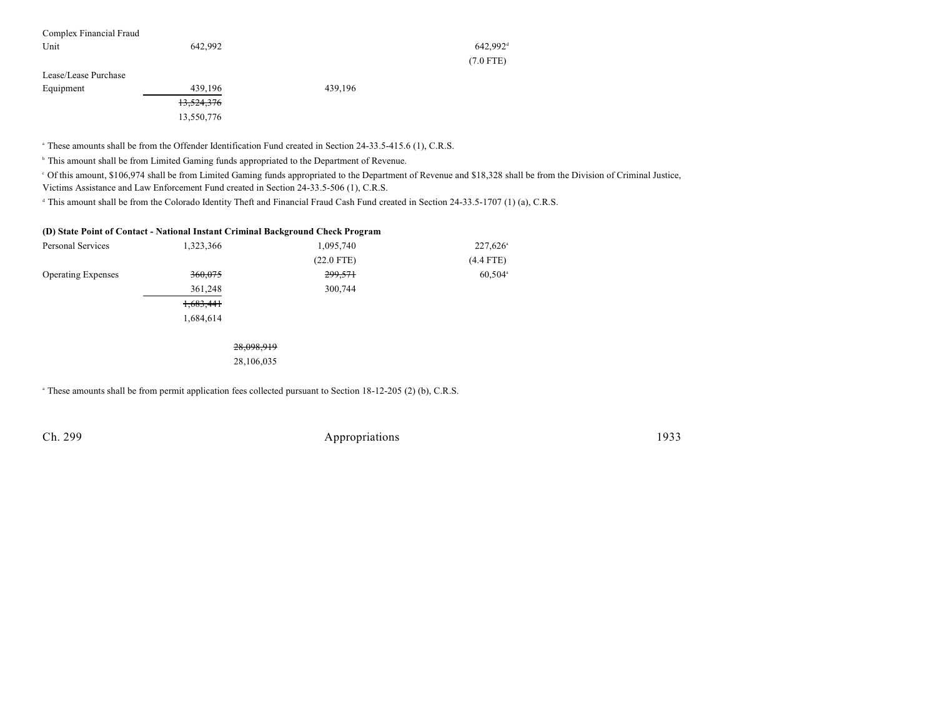| Complex Financial Fraud |                          |         |                        |  |
|-------------------------|--------------------------|---------|------------------------|--|
| Unit                    | 642,992                  |         | $642,992$ <sup>d</sup> |  |
|                         |                          |         | $(7.0$ FTE)            |  |
| Lease/Lease Purchase    |                          |         |                        |  |
| Equipment               | 439,196                  | 439.196 |                        |  |
|                         | 12.524.276<br>13,324,370 |         |                        |  |

<sup>a</sup> These amounts shall be from the Offender Identification Fund created in Section 24-33.5-415.6 (1), C.R.S.

<sup>b</sup> This amount shall be from Limited Gaming funds appropriated to the Department of Revenue.

13,550,776

 Of this amount, \$106,974 shall be from Limited Gaming funds appropriated to the Department of Revenue and \$18,328 shall be from the Division of Criminal Justice, <sup>c</sup> Victims Assistance and Law Enforcement Fund created in Section 24-33.5-506 (1), C.R.S.

<sup>d</sup> This amount shall be from the Colorado Identity Theft and Financial Fraud Cash Fund created in Section 24-33.5-1707 (1) (a), C.R.S.

### **(D) State Point of Contact - National Instant Criminal Background Check Program**

| Personal Services         | 1,323,366 | 1,095,740    | $227,626$ <sup>a</sup> |  |
|---------------------------|-----------|--------------|------------------------|--|
|                           |           | $(22.0$ FTE) | $(4.4$ FTE)            |  |
| <b>Operating Expenses</b> | 360,075   | 299,571      | $60,504$ <sup>a</sup>  |  |
|                           | 361,248   | 300,744      |                        |  |
|                           | 1,683,441 |              |                        |  |
|                           | 1,684,614 |              |                        |  |
|                           |           |              |                        |  |

28,098,919 28,106,035

<sup>a</sup> These amounts shall be from permit application fees collected pursuant to Section 18-12-205 (2) (b), C.R.S.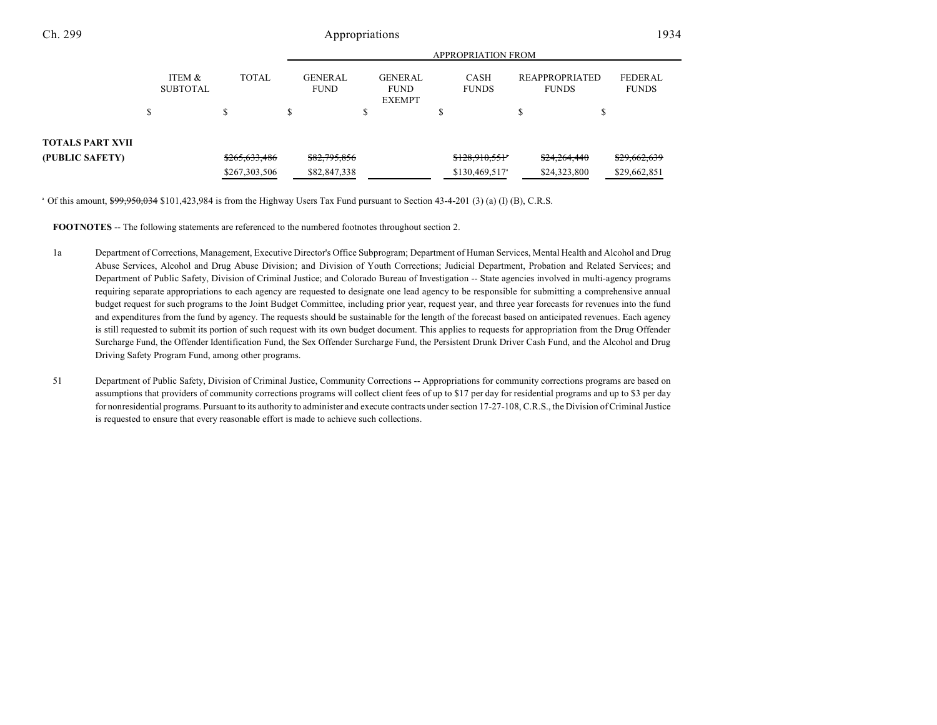| ITEM &<br><b>SUBTOTAL</b> | <b>TOTAL</b>  |               | <b>GENERAL</b><br><b>FUND</b> | <b>GENERAL</b><br><b>FUND</b><br><b>EXEMPT</b> | <b>CASH</b><br><b>FUNDS</b> | <b>REAPPROPRIATED</b><br><b>FUNDS</b> | <b>FEDERAL</b><br><b>FUNDS</b> |
|---------------------------|---------------|---------------|-------------------------------|------------------------------------------------|-----------------------------|---------------------------------------|--------------------------------|
|                           |               | J.            |                               |                                                | ٠D                          |                                       |                                |
|                           | \$265,633,486 |               | \$82,795,856                  |                                                | \$128,910,551               | \$24,264,440                          | \$29,662,639<br>\$29,662,851   |
|                           |               | \$267,303,506 |                               | \$82,847,338                                   |                             | $$130,469,517$ <sup>a</sup>           | \$24,323,800                   |

<sup>a</sup> Of this amount, \$99,950,034 \$101,423,984 is from the Highway Users Tax Fund pursuant to Section 43-4-201 (3) (a) (I) (B), C.R.S.

**FOOTNOTES** -- The following statements are referenced to the numbered footnotes throughout section 2.

- 1a Department of Corrections, Management, Executive Director's Office Subprogram; Department of Human Services, Mental Health and Alcohol and Drug Abuse Services, Alcohol and Drug Abuse Division; and Division of Youth Corrections; Judicial Department, Probation and Related Services; and Department of Public Safety, Division of Criminal Justice; and Colorado Bureau of Investigation -- State agencies involved in multi-agency programs requiring separate appropriations to each agency are requested to designate one lead agency to be responsible for submitting a comprehensive annual budget request for such programs to the Joint Budget Committee, including prior year, request year, and three year forecasts for revenues into the fund and expenditures from the fund by agency. The requests should be sustainable for the length of the forecast based on anticipated revenues. Each agency is still requested to submit its portion of such request with its own budget document. This applies to requests for appropriation from the Drug Offender Surcharge Fund, the Offender Identification Fund, the Sex Offender Surcharge Fund, the Persistent Drunk Driver Cash Fund, and the Alcohol and Drug Driving Safety Program Fund, among other programs.
- 51 Department of Public Safety, Division of Criminal Justice, Community Corrections -- Appropriations for community corrections programs are based on assumptions that providers of community corrections programs will collect client fees of up to \$17 per day for residential programs and up to \$3 per day for nonresidential programs. Pursuant to its authority to administer and execute contracts under section 17-27-108, C.R.S., the Division of Criminal Justice is requested to ensure that every reasonable effort is made to achieve such collections.